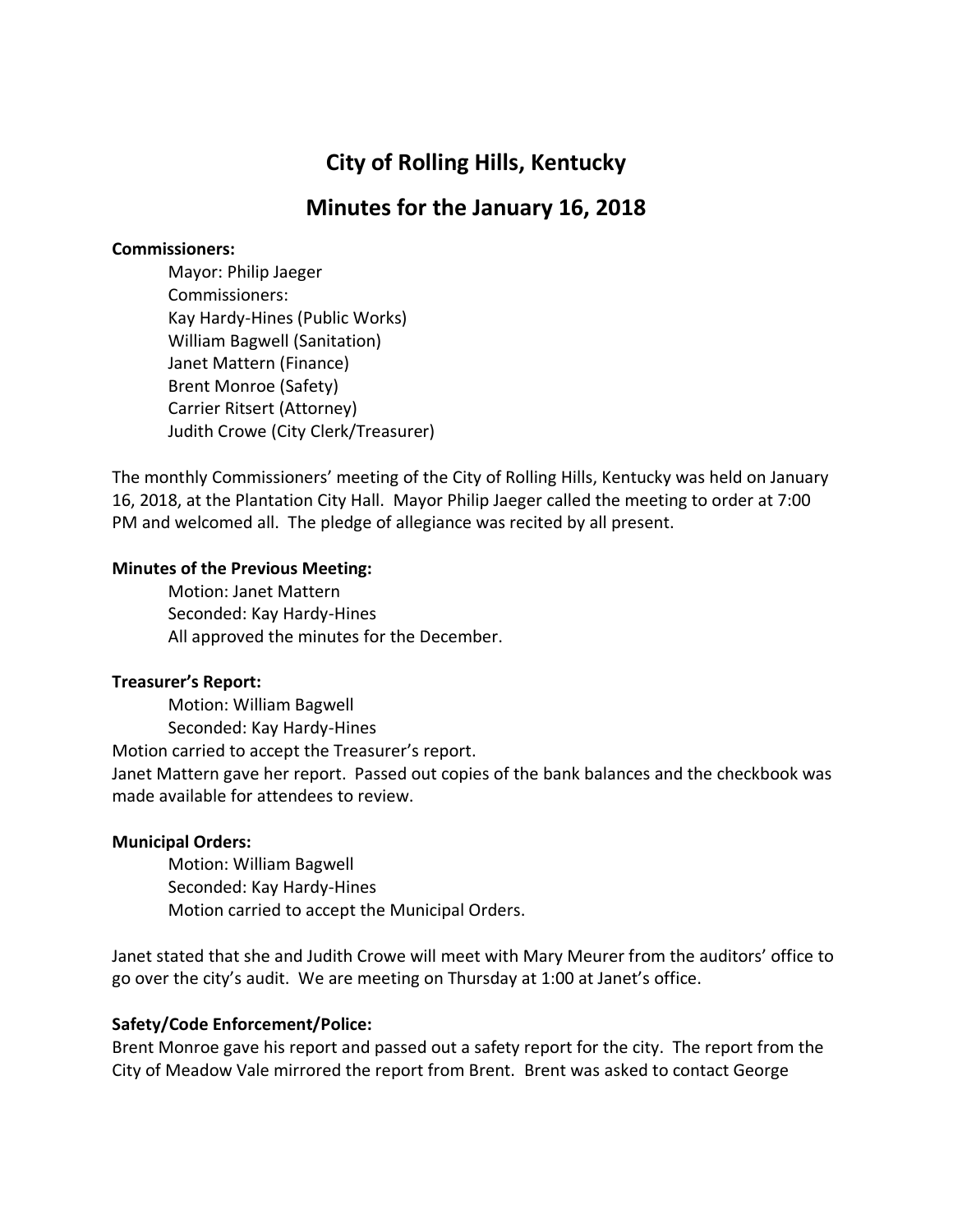# **City of Rolling Hills, Kentucky**

# **Minutes for the January 16, 2018**

#### **Commissioners:**

Mayor: Philip Jaeger Commissioners: Kay Hardy-Hines (Public Works) William Bagwell (Sanitation) Janet Mattern (Finance) Brent Monroe (Safety) Carrier Ritsert (Attorney) Judith Crowe (City Clerk/Treasurer)

The monthly Commissioners' meeting of the City of Rolling Hills, Kentucky was held on January 16, 2018, at the Plantation City Hall. Mayor Philip Jaeger called the meeting to order at 7:00 PM and welcomed all. The pledge of allegiance was recited by all present.

#### **Minutes of the Previous Meeting:**

Motion: Janet Mattern Seconded: Kay Hardy-Hines All approved the minutes for the December.

#### **Treasurer's Report:**

Motion: William Bagwell Seconded: Kay Hardy-Hines Motion carried to accept the Treasurer's report. Janet Mattern gave her report. Passed out copies of the bank balances and the checkbook was made available for attendees to review.

#### **Municipal Orders:**

Motion: William Bagwell Seconded: Kay Hardy-Hines Motion carried to accept the Municipal Orders.

Janet stated that she and Judith Crowe will meet with Mary Meurer from the auditors' office to go over the city's audit. We are meeting on Thursday at 1:00 at Janet's office.

## **Safety/Code Enforcement/Police:**

Brent Monroe gave his report and passed out a safety report for the city. The report from the City of Meadow Vale mirrored the report from Brent. Brent was asked to contact George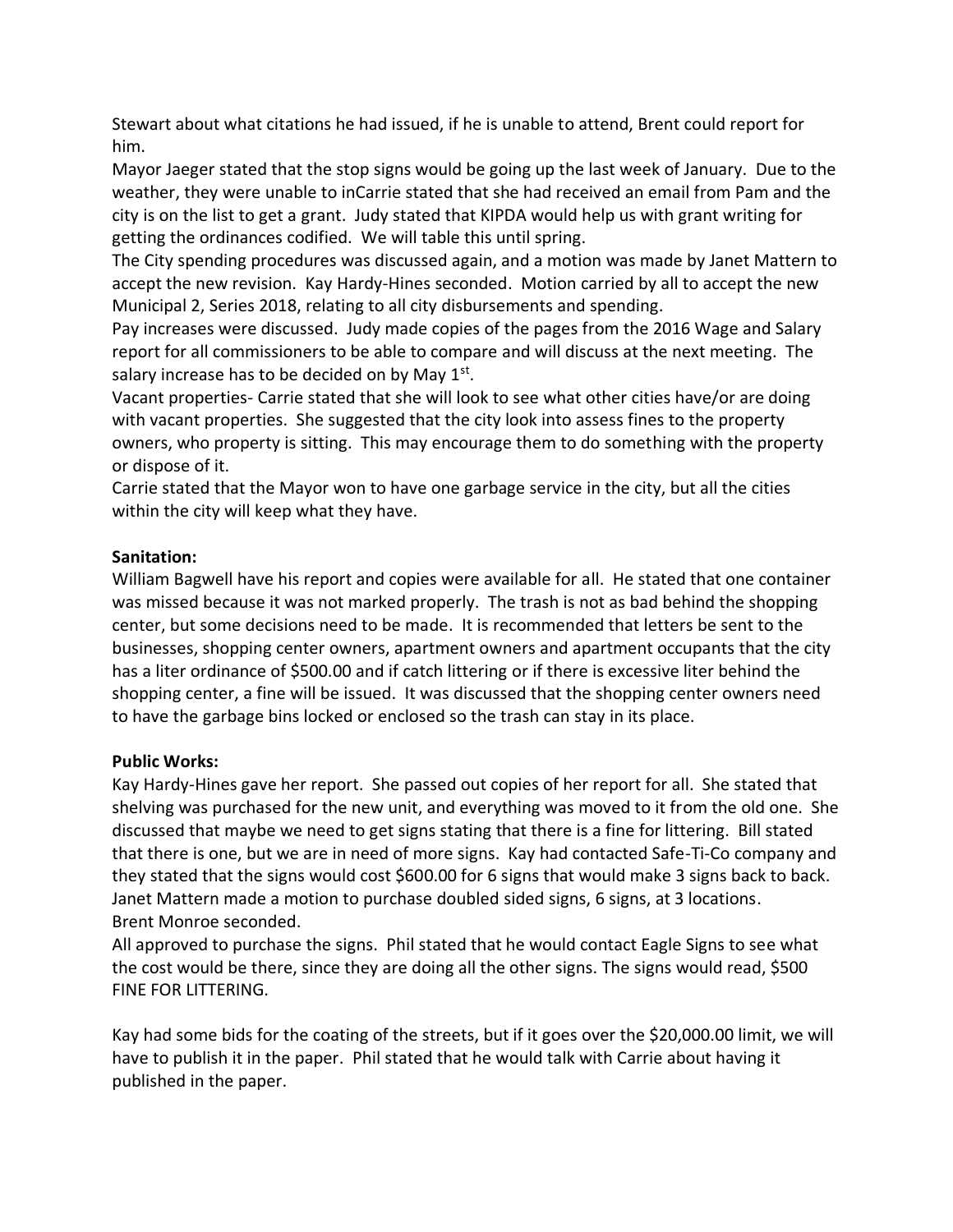Stewart about what citations he had issued, if he is unable to attend, Brent could report for him.

Mayor Jaeger stated that the stop signs would be going up the last week of January. Due to the weather, they were unable to inCarrie stated that she had received an email from Pam and the city is on the list to get a grant. Judy stated that KIPDA would help us with grant writing for getting the ordinances codified. We will table this until spring.

The City spending procedures was discussed again, and a motion was made by Janet Mattern to accept the new revision. Kay Hardy-Hines seconded. Motion carried by all to accept the new Municipal 2, Series 2018, relating to all city disbursements and spending.

Pay increases were discussed. Judy made copies of the pages from the 2016 Wage and Salary report for all commissioners to be able to compare and will discuss at the next meeting. The salary increase has to be decided on by May  $1<sup>st</sup>$ .

Vacant properties- Carrie stated that she will look to see what other cities have/or are doing with vacant properties. She suggested that the city look into assess fines to the property owners, who property is sitting. This may encourage them to do something with the property or dispose of it.

Carrie stated that the Mayor won to have one garbage service in the city, but all the cities within the city will keep what they have.

## **Sanitation:**

William Bagwell have his report and copies were available for all. He stated that one container was missed because it was not marked properly. The trash is not as bad behind the shopping center, but some decisions need to be made. It is recommended that letters be sent to the businesses, shopping center owners, apartment owners and apartment occupants that the city has a liter ordinance of \$500.00 and if catch littering or if there is excessive liter behind the shopping center, a fine will be issued. It was discussed that the shopping center owners need to have the garbage bins locked or enclosed so the trash can stay in its place.

#### **Public Works:**

Kay Hardy-Hines gave her report. She passed out copies of her report for all. She stated that shelving was purchased for the new unit, and everything was moved to it from the old one. She discussed that maybe we need to get signs stating that there is a fine for littering. Bill stated that there is one, but we are in need of more signs. Kay had contacted Safe-Ti-Co company and they stated that the signs would cost \$600.00 for 6 signs that would make 3 signs back to back. Janet Mattern made a motion to purchase doubled sided signs, 6 signs, at 3 locations. Brent Monroe seconded.

All approved to purchase the signs. Phil stated that he would contact Eagle Signs to see what the cost would be there, since they are doing all the other signs. The signs would read, \$500 FINE FOR LITTERING.

Kay had some bids for the coating of the streets, but if it goes over the \$20,000.00 limit, we will have to publish it in the paper. Phil stated that he would talk with Carrie about having it published in the paper.